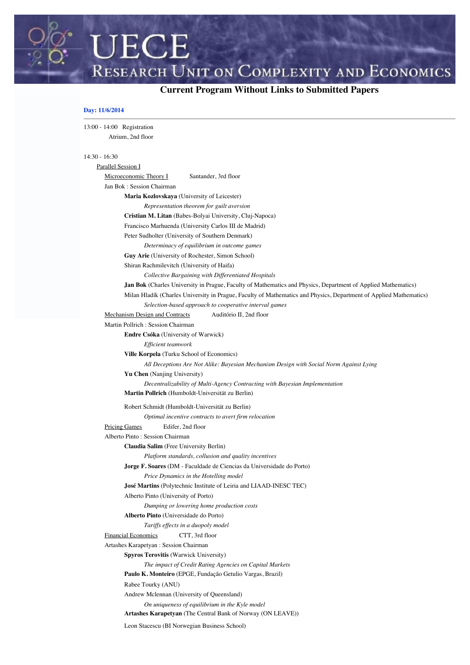**CURRENT COMPLEXITY AND ECONOMICS**<br>Current Program Without Links to Submitted Papers

# **Day: 11/6/2014**

**UECE** 

| 13:00 - 14:00 Registration                   |                                                                                                                    |
|----------------------------------------------|--------------------------------------------------------------------------------------------------------------------|
| Atrium, 2nd floor                            |                                                                                                                    |
|                                              |                                                                                                                    |
| $14:30 - 16:30$                              |                                                                                                                    |
| Parallel Session I                           |                                                                                                                    |
| Microeconomic Theory I                       | Santander, 3rd floor                                                                                               |
| Jan Bok: Session Chairman                    |                                                                                                                    |
| Maria Kozlovskaya (University of Leicester)  |                                                                                                                    |
|                                              | Representation theorem for guilt aversion                                                                          |
|                                              | Cristian M. Litan (Babes-Bolyai University, Cluj-Napoca)                                                           |
|                                              | Francisco Marhuenda (University Carlos III de Madrid)                                                              |
|                                              | Peter Sudholter (University of Southern Denmark)                                                                   |
|                                              | Determinacy of equilibrium in outcome games                                                                        |
|                                              | Guy Arie (University of Rochester, Simon School)                                                                   |
| Shiran Rachmilevitch (University of Haifa)   |                                                                                                                    |
|                                              | Collective Bargaining with Differentiated Hospitals                                                                |
|                                              | Jan Bok (Charles University in Prague, Faculty of Mathematics and Physics, Department of Applied Mathematics)      |
|                                              | Milan Hladík (Charles University in Prague, Faculty of Mathematics and Physics, Department of Applied Mathematics) |
|                                              | Selection-based approach to cooperative interval games                                                             |
| Mechanism Design and Contracts               | Auditório II, 2nd floor                                                                                            |
| Martin Pollrich: Session Chairman            |                                                                                                                    |
| <b>Endre Csóka</b> (University of Warwick)   |                                                                                                                    |
| Efficient teamwork                           |                                                                                                                    |
| Ville Korpela (Turku School of Economics)    |                                                                                                                    |
|                                              | All Deceptions Are Not Alike: Bayesian Mechanism Design with Social Norm Against Lying                             |
| Yu Chen (Nanjing University)                 |                                                                                                                    |
|                                              | Decentralizability of Multi-Agency Contracting with Bayesian Implementation                                        |
|                                              | Martin Pollrich (Humboldt-Universität zu Berlin)                                                                   |
|                                              | Robert Schmidt (Humboldt-Universität zu Berlin)                                                                    |
|                                              | Optimal incentive contracts to avert firm relocation                                                               |
| <b>Pricing Games</b><br>Edifer, 2nd floor    |                                                                                                                    |
| Alberto Pinto: Session Chairman              |                                                                                                                    |
| Claudia Salim (Free University Berlin)       |                                                                                                                    |
|                                              | Platform standards, collusion and quality incentives                                                               |
|                                              | Jorge F. Soares (DM - Faculdade de Ciencias da Universidade do Porto)                                              |
|                                              | Price Dynamics in the Hotelling model                                                                              |
|                                              | José Martins (Polytechnic Institute of Leiria and LIAAD-INESC TEC)                                                 |
| Alberto Pinto (University of Porto)          |                                                                                                                    |
|                                              | Dumping or lowering home production costs                                                                          |
| Alberto Pinto (Universidade do Porto)        |                                                                                                                    |
|                                              | Tariffs effects in a duopoly model                                                                                 |
| <b>Financial Economics</b>                   | CTT, 3rd floor                                                                                                     |
| Artashes Karapetyan: Session Chairman        |                                                                                                                    |
| Spyros Terovitis (Warwick University)        |                                                                                                                    |
|                                              | The impact of Credit Rating Agencies on Capital Markets                                                            |
|                                              | Paulo K. Monteiro (EPGE, Fundação Getulio Vargas, Brazil)                                                          |
| Rabee Tourky (ANU)                           |                                                                                                                    |
| Andrew Mclennan (University of Queensland)   |                                                                                                                    |
|                                              | On uniqueness of equilibrium in the Kyle model                                                                     |
|                                              | Artashes Karapetyan (The Central Bank of Norway (ON LEAVE))                                                        |
| Leon Stacescu (BI Norwegian Business School) |                                                                                                                    |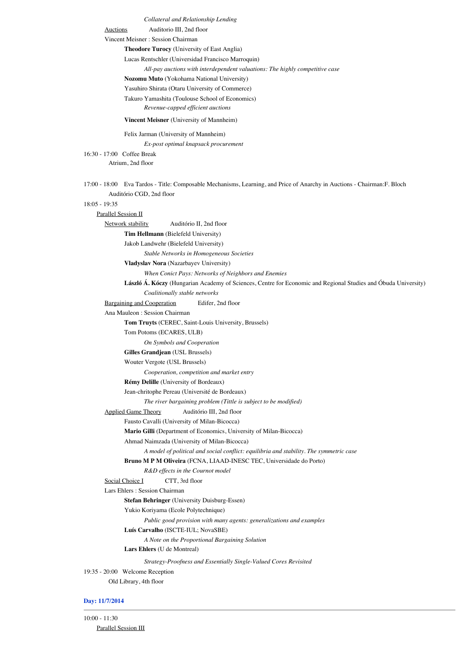*Collateral and Relationship Lending*

Auctions Auditorio III, 2nd floor

#### Vincent Meisner : Session Chairman

**Theodore Turocy** (University of East Anglia)

Lucas Rentschler (Universidad Francisco Marroquin)

*All-pay auctions with interdependent valuations: The highly competitive case*

**Nozomu Muto** (Yokohama National University)

Yasuhiro Shirata (Otaru University of Commerce)

Takuro Yamashita (Toulouse School of Economics)

*Revenue-capped efficient auctions*

#### **Vincent Meisner** (University of Mannheim)

#### Felix Jarman (University of Mannheim)

*Ex-post optimal knapsack procurement*

16:30 - 17:00 Coffee Break Atrium, 2nd floor

17:00 - 18:00 Eva Tardos - Title: Composable Mechanisms, Learning, and Price of Anarchy in Auctions - Chairman:F. Bloch Auditório CGD, 2nd floor

### 18:05 - 19:35

Parallel Session II

Network stability Auditório II, 2nd floor

**Tim Hellmann** (Bielefeld University)

Jakob Landwehr (Bielefeld University)

*Stable Networks in Homogeneous Societies*

**Vladyslav Nora** (Nazarbayev University)

*When Conict Pays: Networks of Neighbors and Enemies*

**László Á. Kóczy** (Hungarian Academy of Sciences, Centre for Economic and Regional Studies and Óbuda University) *Coalitionally stable networks*

Bargaining and Cooperation Edifer, 2nd floor

Ana Mauleon : Session Chairman

**Tom Truyts** (CEREC, Saint-Louis University, Brussels)

Tom Potoms (ECARES, ULB)

*On Symbols and Cooperation*

**Gilles Grandjean** (USL Brussels)

Wouter Vergote (USL Brussels)

*Cooperation, competition and market entry*

# **Rémy Delille** (University of Bordeaux)

Jean-chritophe Pereau (Université de Bordeaux)

*The river bargaining problem (Tittle is subject to be modified)*

Applied Game Theory Auditório III, 2nd floor

Fausto Cavalli (University of Milan-Bicocca)

**Mario Gilli** (Department of Economics, University of Milan-Bicocca)

Ahmad Naimzada (University of Milan-Bicocca)

*A model of political and social conflict: equilibria and stability. The symmetric case*

## **Bruno M P M Oliveira** (FCNA, LIAAD-INESC TEC, Universidade do Porto)

*R&D effects in the Cournot model*

```
Social Choice I CTT, 3rd floor
```
Lars Ehlers : Session Chairman

**Stefan Behringer** (University Duisburg-Essen)

Yukio Koriyama (Ecole Polytechnique)

*Public good provision with many agents: generalizations and examples*

## **Luís Carvalho** (ISCTE-IUL; NovaSBE)

*A Note on the Proportional Bargaining Solution*

**Lars Ehlers** (U de Montreal)

*Strategy-Proofness and Essentially Single-Valued Cores Revisited*

19:35 - 20:00 Welcome Reception Old Library, 4th floor

## **Day: 11/7/2014**

10:00 - 11:30 Parallel Session III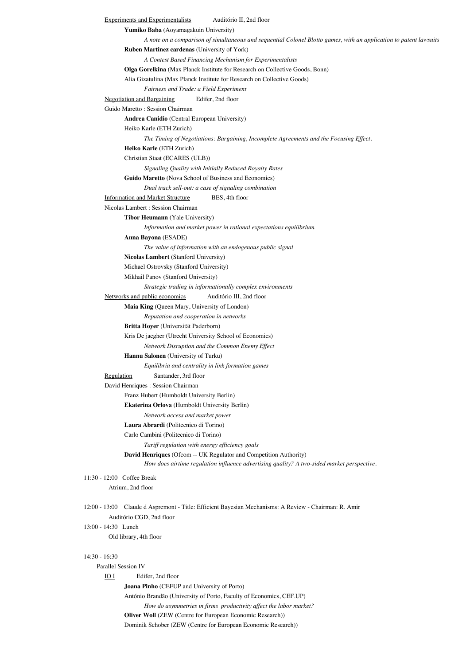```
Experiments and Experimentalists Auditório II, 2nd floor
              Yumiko Baba (Aoyamagakuin University)
                      A note on a comparison of simultaneous and sequential Colonel Blotto games, with an application to patent lawsuits
              Ruben Martinez cardenas (University of York)
                      A Contest Based Financing Mechanism for Experimentalists
              Olga Gorelkina (Max Planck Institute for Research on Collective Goods, Bonn)
              Alia Gizatulina (Max Planck Institute for Research on Collective Goods)
                      Fairness and Trade: a Field Experiment
       Negotiation and Bargaining Edifer, 2nd floor
       Guido Maretto : Session Chairman
              Andrea Canidio (Central European University)
              Heiko Karle (ETH Zurich)
                      The Timing of Negotiations: Bargaining, Incomplete Agreements and the Focusing Effect.
              Heiko Karle (ETH Zurich)
              Christian Staat (ECARES (ULB))
                      Signaling Quality with Initially Reduced Royalty Rates
              Guido Maretto (Nova School of Business and Economics)
                      Dual track sell-out: a case of signaling combination
       Information and Market Structure BES, 4th floor
       Nicolas Lambert : Session Chairman
               Tibor Heumann (Yale University)
                      Information and market power in rational expectations equilibrium
              Anna Bayona (ESADE)
                      The value of information with an endogenous public signal
              Nicolas Lambert (Stanford University)
              Michael Ostrovsky (Stanford University)
              Mikhail Panov (Stanford University)
                      Strategic trading in informationally complex environments
       Networks and public economics Auditório III, 2nd floor
              Maia King (Queen Mary, University of London)
                      Reputation and cooperation in networks
              Britta Hoyer (Universität Paderborn)
              Kris De jaegher (Utrecht University School of Economics)
                      Network Disruption and the Common Enemy Effect
              Hannu Salonen (University of Turku)
                      Equilibria and centrality in link formation games
       Regulation Santander, 3rd floor
       David Henriques : Session Chairman
              Franz Hubert (Humboldt University Berlin)
              Ekaterina Orlova (Humboldt University Berlin)
                      Network access and market power
              Laura Abrardi (Politecnico di Torino)
              Carlo Cambini (Politecnico di Torino)
                      Tariff regulation with energy efficiency goals
              David Henriques (Ofcom -- UK Regulator and Competition Authority)
                      How does airtime regulation influence advertising quality? A two-sided market perspective.
11:30 - 12:00 Coffee Break
        Atrium, 2nd floor
12:00 - 13:00 Claude d Aspremont - Title: Efficient Bayesian Mechanisms: A Review - Chairman: R. Amir
        Auditório CGD, 2nd floor
13:00 - 14:30 Lunch
        Old library, 4th floor
14:30 - 16:30
    Parallel Session IV
       IO I Edifer, 2nd floor
              Joana Pinho (CEFUP and University of Porto)
              António Brandão (University of Porto, Faculty of Economics, CEF.UP)
                      How do asymmetries in firms' productivity affect the labor market?
              Oliver Woll (ZEW (Centre for European Economic Research))
```

```
Dominik Schober (ZEW (Centre for European Economic Research))
```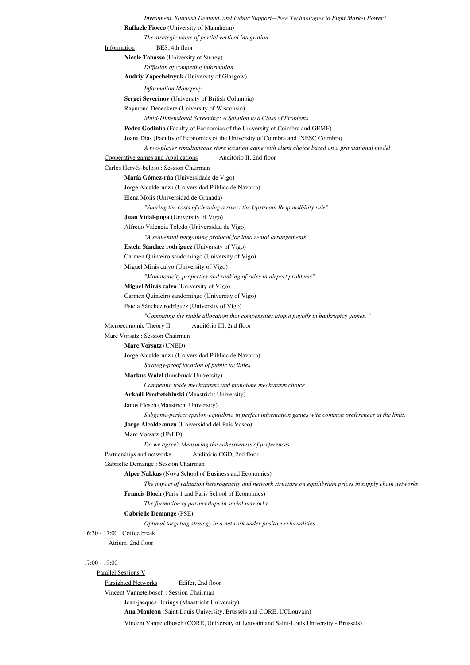```
Raffaele Fiocco (University of Mannheim)
                      The strategic value of partial vertical integration
       Information BES, 4th floor
              Nicole Tabasso (University of Surrey)
                      Diffusion of competing information
              Andriy Zapechelnyuk (University of Glasgow)
                      Information Monopoly
              Sergei Severinov (University of British Columbia)
              Raymond Deneckere (University of Wisconsin)
                      Multi-Dimensional Screening: A Solution to a Class of Problems
              Pedro Godinho (Faculty of Economics of the University of Coimbra and GEMF)
              Joana Dias (Faculty of Economics of the University of Coimbra and INESC Coimbra)
                      A two-player simultaneous store location game with client choice based on a gravitational model
       Cooperative games and Applications Auditório II, 2nd floor
       Carlos Hervés-beloso : Session Chairman
              María Gómez-rúa (Universidade de Vigo)
              Jorge Alcalde-unzu (Universidad Pública de Navarra)
              Elena Molis (Universidad de Granada)
                      "Sharing the costs of cleaning a river: the Upstream Responsibility rule"
              Juan Vidal-puga (University of Vigo)
              Alfredo Valencia Toledo (Universidad de Vigo)
                      "A sequential bargaining protocol for land rental arrangements"
              Estela Sánchez rodríguez (University of Vigo)
              Carmen Quinteiro sandomingo (University of Vigo)
              Miguel Mirás calvo (University of Vigo)
                      "Monotonicity properties and ranking of rules in airport problems"
              Miguel Mirás calvo (University of Vigo)
              Carmen Quinteiro sandomingo (University of Vigo)
              Estela Sánchez rodríguez (University of Vigo)
                      "Computing the stable allocation that compensates utopia payoffs in bankruptcy games. "
       Microeconomic Theory II Auditório III, 2nd floor
       Marc Vorsatz : Session Chairman
              Marc Vorsatz (UNED)
              Jorge Alcalde-unzu (Universidad Pública de Navarra)
                      Strategy-proof location of public facilities
              Markus Walzl (Innsbruck University)
                      Competing trade mechanisms and monotone mechanism choice
              Arkadi Predtetchinski (Maastricht University)
              Janos Flesch (Maastricht University)
                      Subgame-perfect epsilon-equilibria in perfect information games with common preferences at the limit.
              Jorge Alcalde-unzu (Universidad del País Vasco)
              Marc Vorsatz (UNED)
                      Do we agree? Measuring the cohesiveness of preferences
       Partnerships and networks Auditório CGD, 2nd floor
       Gabrielle Demange : Session Chairman
              Alper Nakkas (Nova School of Business and Economics)
                      The impact of valuation heterogeneity and network structure on equilibrium prices in supply chain networks
              Francis Bloch (Paris 1 and Paris School of Economics)
                      The formation of partnerships in social networks
              Gabrielle Demange (PSE)
                      Optimal targeting strategy in a network under positive externalities
16:30 - 17:00 Coffee break
         Atrium, 2nd floor
17:00 - 19:00
    Parallel Sessions V
       Farsighted Networks Edifer, 2nd floor
       Vincent Vannetelbosch : Session Chairman
              Jean-jacques Herings (Maastricht University)
               Ana Mauleon (Saint-Louis University, Brussels and CORE, UCLouvain)
```
Vincent Vannetelbosch (CORE, University of Louvain and Saint-Louis University - Brussels)

*Investment, Sluggish Demand, and Public Support—New Technologies to Fight Market Power?*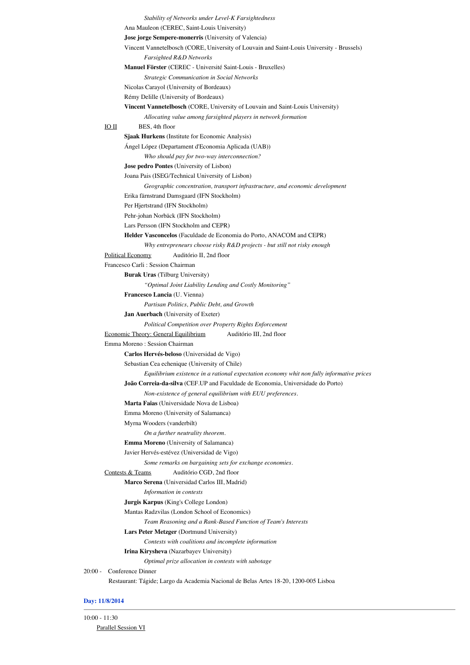```
Stability of Networks under Level-K Farsightedness
               Ana Mauleon (CEREC, Saint-Louis University)
               Jose jorge Sempere-monerris (University of Valencia)
               Vincent Vannetelbosch (CORE, University of Louvain and Saint-Louis University - Brussels)
                      Farsighted R&D Networks
               Manuel Förster (CEREC - Université Saint-Louis - Bruxelles)
                      Strategic Communication in Social Networks
               Nicolas Carayol (University of Bordeaux)
               Rémy Delille (University of Bordeaux)
               Vincent Vannetelbosch (CORE, University of Louvain and Saint-Louis University)
                      Allocating value among farsighted players in network formation
       IO II BES, 4th floor
               Sjaak Hurkens (Institute for Economic Analysis)
               Ángel López (Departament d'Economia Aplicada (UAB))
                      Who should pay for two-way interconnection?
               Jose pedro Pontes (University of Lisbon)
               Joana Pais (ISEG/Technical University of Lisbon)
                      Geographic concentration, transport infrastructure, and economic development
               Erika färnstrand Damsgaard (IFN Stockholm)
               Per Hjertstrand (IFN Stockholm)
               Pehr-johan Norbäck (IFN Stockholm)
               Lars Persson (IFN Stockholm and CEPR)
               Helder Vasconcelos (Faculdade de Economia do Porto, ANACOM and CEPR)
                      Why entrepreneurs choose risky R&D projects - but still not risky enough
       Political Economy Auditório II, 2nd floor
       Francesco Carli : Session Chairman
               Burak Uras (Tilburg University)
                      "Optimal Joint Liability Lending and Costly Monitoring"
               Francesco Lancia (U. Vienna)
                      Partisan Politics, Public Debt, and Growth
               Jan Auerbach (University of Exeter)
                      Political Competition over Property Rights Enforcement
        Economic Theory: General Equilibrium Auditório III, 2nd floor
       Emma Moreno : Session Chairman
               Carlos Hervés-beloso (Universidad de Vigo)
               Sebastian Cea echenique (University of Chile)
                      Equilibrium existence in a rational expectation economy whit non fully informative prices
               João Correia-da-silva (CEF.UP and Faculdade de Economia, Universidade do Porto)
                      Non-existence of general equilibrium with EUU preferences.
               Marta Faias (Universidade Nova de Lisboa)
               Emma Moreno (University of Salamanca)
               Myrna Wooders (vanderbilt)
                      On a further neutrality theorem.
               Emma Moreno (University of Salamanca)
               Javier Hervés-estévez (Universidad de Vigo)
                      Some remarks on bargaining sets for exchange economies.
        Contests & Teams Auditório CGD, 2nd floor
               Marco Serena (Universidad Carlos III, Madrid)
                      Information in contests
               Jurgis Karpus (King's College London)
               Mantas Radzvilas (London School of Economics)
                      Team Reasoning and a Rank-Based Function of Team's Interests
               Lars Peter Metzger (Dortmund University)
                      Contests with coalitions and incomplete information
               Irina Kirysheva (Nazarbayev University)
                      Optimal prize allocation in contests with sabotage
20:00 - Conference Dinner
         Restaurant: Tágide; Largo da Academia Nacional de Belas Artes 18-20, 1200-005 Lisboa
```
# **Day: 11/8/2014**